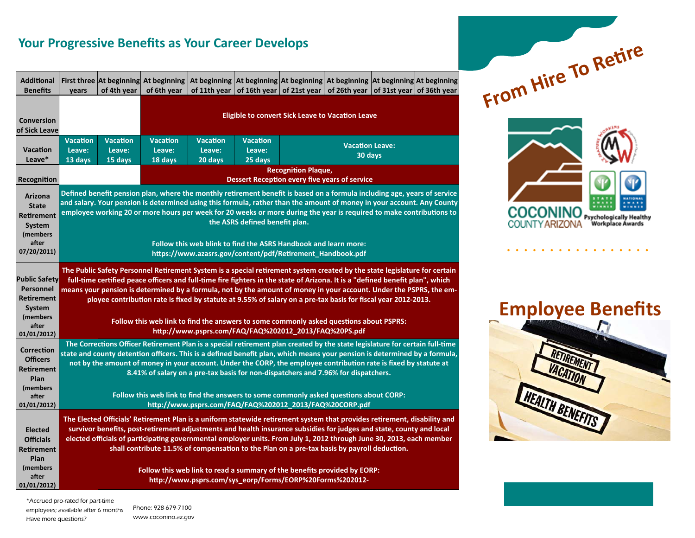## **Your Progressive Benefits as Your Career Develops**

| <b>Additional</b>                                                                                                  |                                                                                                                                                                                                                                                                                                                                                                                                                                                                                                                                                                                                                                                       |                                                                                                                                                                                                                                                                                                                                                                                                                                                                         |                                                                             | First three At beginning At beginning   At beginning   At beginning   At beginning   At beginning   At beginning   At beginning |                                      |                                                                               |                                   |  |  |  |  |  |
|--------------------------------------------------------------------------------------------------------------------|-------------------------------------------------------------------------------------------------------------------------------------------------------------------------------------------------------------------------------------------------------------------------------------------------------------------------------------------------------------------------------------------------------------------------------------------------------------------------------------------------------------------------------------------------------------------------------------------------------------------------------------------------------|-------------------------------------------------------------------------------------------------------------------------------------------------------------------------------------------------------------------------------------------------------------------------------------------------------------------------------------------------------------------------------------------------------------------------------------------------------------------------|-----------------------------------------------------------------------------|---------------------------------------------------------------------------------------------------------------------------------|--------------------------------------|-------------------------------------------------------------------------------|-----------------------------------|--|--|--|--|--|
| <b>Benefits</b>                                                                                                    | vears                                                                                                                                                                                                                                                                                                                                                                                                                                                                                                                                                                                                                                                 | of 4th year                                                                                                                                                                                                                                                                                                                                                                                                                                                             | of 6th year                                                                 |                                                                                                                                 |                                      | of 11th year of 16th year of 21st year of 26th year of 31st year of 36th year |                                   |  |  |  |  |  |
| <b>Conversion</b><br>of Sick Leave                                                                                 |                                                                                                                                                                                                                                                                                                                                                                                                                                                                                                                                                                                                                                                       |                                                                                                                                                                                                                                                                                                                                                                                                                                                                         | <b>Eligible to convert Sick Leave to Vacation Leave</b>                     |                                                                                                                                 |                                      |                                                                               |                                   |  |  |  |  |  |
| <b>Vacation</b><br>Leave*                                                                                          | <b>Vacation</b><br>Leave:<br>13 days                                                                                                                                                                                                                                                                                                                                                                                                                                                                                                                                                                                                                  | <b>Vacation</b><br>Leave:<br>15 days                                                                                                                                                                                                                                                                                                                                                                                                                                    | <b>Vacation</b><br>Leave:<br>18 days                                        | <b>Vacation</b><br>Leave:<br>20 days                                                                                            | <b>Vacation</b><br>Leave:<br>25 days |                                                                               | <b>Vacation Leave:</b><br>30 days |  |  |  |  |  |
| Recognition                                                                                                        |                                                                                                                                                                                                                                                                                                                                                                                                                                                                                                                                                                                                                                                       |                                                                                                                                                                                                                                                                                                                                                                                                                                                                         | <b>Recognition Plaque,</b><br>Dessert Reception every five years of service |                                                                                                                                 |                                      |                                                                               |                                   |  |  |  |  |  |
| Arizona<br><b>State</b><br>Retirement<br>System<br>(members<br>after<br>07/20/2011)                                | Defined benefit pension plan, where the monthly retirement benefit is based on a formula including age, years of service<br>and salary. Your pension is determined using this formula, rather than the amount of money in your account. Any County<br>employee working 20 or more hours per week for 20 weeks or more during the year is required to make contributions to<br>the ASRS defined benefit plan.<br>Follow this web blink to find the ASRS Handbook and learn more:<br>https://www.azasrs.gov/content/pdf/Retirement_Handbook.pdf                                                                                                         |                                                                                                                                                                                                                                                                                                                                                                                                                                                                         |                                                                             |                                                                                                                                 |                                      |                                                                               |                                   |  |  |  |  |  |
| <b>Public Safety</b><br><b>Personnel</b><br><b>Retirement</b><br><b>System</b><br>(members<br>after<br>01/01/2012) | The Public Safety Personnel Retirement System is a special retirement system created by the state legislature for certain<br>full-time certified peace officers and full-time fire fighters in the state of Arizona. It is a "defined benefit plan", which<br>means your pension is determined by a formula, not by the amount of money in your account. Under the PSPRS, the em-<br>ployee contribution rate is fixed by statute at 9.55% of salary on a pre-tax basis for fiscal year 2012-2013.<br>Follow this web link to find the answers to some commonly asked questions about PSPRS:<br>http://www.psprs.com/FAQ/FAQ%202012_2013/FAQ%20PS.pdf |                                                                                                                                                                                                                                                                                                                                                                                                                                                                         |                                                                             |                                                                                                                                 |                                      |                                                                               |                                   |  |  |  |  |  |
| <b>Correction</b><br><b>Officers</b><br><b>Retirement</b><br>Plan<br>(members<br>after<br>01/01/2012)              | The Corrections Officer Retirement Plan is a special retirement plan created by the state legislature for certain full-time<br>state and county detention officers. This is a defined benefit plan, which means your pension is determined by a formula,<br>not by the amount of money in your account. Under the CORP, the employee contribution rate is fixed by statute at<br>8.41% of salary on a pre-tax basis for non-dispatchers and 7.96% for dispatchers.<br>Follow this web link to find the answers to some commonly asked questions about CORP:<br>http://www.psprs.com/FAQ/FAQ%202012_2013/FAQ%20CORP.pdf                                |                                                                                                                                                                                                                                                                                                                                                                                                                                                                         |                                                                             |                                                                                                                                 |                                      |                                                                               |                                   |  |  |  |  |  |
| <b>Elected</b><br><b>Officials</b><br><b>Retirement</b><br>Plan<br>(members                                        |                                                                                                                                                                                                                                                                                                                                                                                                                                                                                                                                                                                                                                                       | The Elected Officials' Retirement Plan is a uniform statewide retirement system that provides retirement, disability and<br>survivor benefits, post-retirement adjustments and health insurance subsidies for judges and state, county and local<br>elected officials of participating governmental employer units. From July 1, 2012 through June 30, 2013, each member<br>shall contribute 11.5% of compensation to the Plan on a pre-tax basis by payroll deduction. |                                                                             |                                                                                                                                 |                                      |                                                                               |                                   |  |  |  |  |  |
| after<br>01/01/2012)                                                                                               | Follow this web link to read a summary of the benefits provided by EORP:<br>http://www.psprs.com/sys_eorp/Forms/EORP%20Forms%202012-                                                                                                                                                                                                                                                                                                                                                                                                                                                                                                                  |                                                                                                                                                                                                                                                                                                                                                                                                                                                                         |                                                                             |                                                                                                                                 |                                      |                                                                               |                                   |  |  |  |  |  |

 $F$ *From* Hire To Retire **COCONINO** Psychologically Healthy<br>Workplace Awards **COUNTY ARIZONA** 

. . . . . . . . . .

**Employee Benefits** 



\*Accrued pro-rated for part-time employees; available after 6 months Have more questions?

Phone: 928-679-7100 www.coconino.az.gov